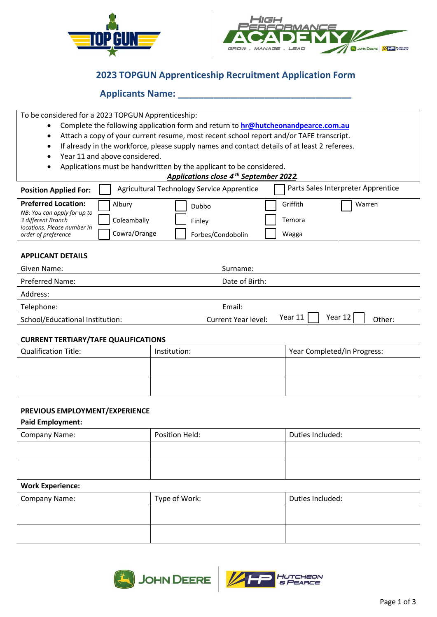



# **2023 TOPGUN Apprenticeship Recruitment Application Form**

## **Applicants Name: \_\_\_\_\_\_\_\_\_\_\_\_\_\_\_\_\_\_\_\_\_\_\_\_\_\_\_\_\_\_\_\_\_\_**

To be considered for a 2023 TOPGUN Apprenticeship:

- Complete the following application form and return to **[hr@hutcheonandpearce.com.au](mailto:hr@hutcheonandpearce.com.au)**
- Attach a copy of your current resume, most recent school report and/or TAFE transcript.
- If already in the workforce, please supply names and contact details of at least 2 referees.
- Year 11 and above considered.
- Applications must be handwritten by the applicant to be considered.

| Applications close 4 <sup>th</sup> September 2022. |
|----------------------------------------------------|
|----------------------------------------------------|

| <b>Position Applied For:</b>                                                                                                          |                                       | Agricultural Technology Service Apprentice  |                             | Parts Sales Interpreter Apprentice |
|---------------------------------------------------------------------------------------------------------------------------------------|---------------------------------------|---------------------------------------------|-----------------------------|------------------------------------|
| <b>Preferred Location:</b><br>NB: You can apply for up to<br>3 different Branch<br>locations. Please number in<br>order of preference | Albury<br>Coleambally<br>Cowra/Orange | <b>Dubbo</b><br>Finley<br>Forbes/Condobolin | Griffith<br>Temora<br>Wagga | Warren                             |
| <b>APPLICANT DETAILS</b>                                                                                                              |                                       |                                             |                             |                                    |

| Given Name:                     | Surname:                                                   |  |
|---------------------------------|------------------------------------------------------------|--|
| <b>Preferred Name:</b>          | Date of Birth:                                             |  |
| Address:                        |                                                            |  |
| Telephone:                      | Email:                                                     |  |
| School/Educational Institution: | Year 12<br>Year 11<br><b>Current Year level:</b><br>Other: |  |

#### **CURRENT TERTIARY/TAFE QUALIFICATIONS**

| <b>Qualification Title:</b> | Institution: | Year Completed/In Progress: |
|-----------------------------|--------------|-----------------------------|
|                             |              |                             |
|                             |              |                             |
|                             |              |                             |

## **PREVIOUS EMPLOYMENT/EXPERIENCE**

**Paid Employment:**

| Company Name: | Position Held: | Duties Included: |
|---------------|----------------|------------------|
|               |                |                  |
|               |                |                  |
|               |                |                  |

## **Work Experience:**

| <b>Company Name:</b> | Type of Work: | Duties Included: |
|----------------------|---------------|------------------|
|                      |               |                  |
|                      |               |                  |



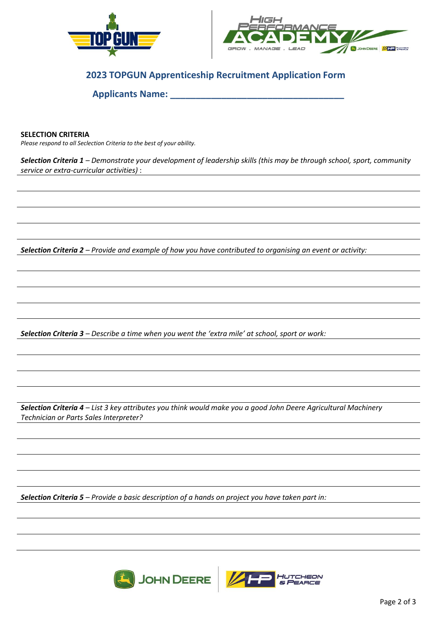



# **2023 TOPGUN Apprenticeship Recruitment Application Form**

**Applicants Name: \_\_\_\_\_\_\_\_\_\_\_\_\_\_\_\_\_\_\_\_\_\_\_\_\_\_\_\_\_\_\_\_\_\_**

## **SELECTION CRITERIA**

*Please respond to all Seclection Criteria to the best of your ability.* 

*Selection Criteria 1 – Demonstrate your development of leadership skills (this may be through school, sport, community service or extra-curricular activities)* :

*Selection Criteria 2 – Provide and example of how you have contributed to organising an event or activity:*

*Selection Criteria 3 – Describe a time when you went the 'extra mile' at school, sport or work:*

*Selection Criteria 4 – List 3 key attributes you think would make you a good John Deere Agricultural Machinery Technician or Parts Sales Interpreter?*

*Selection Criteria 5 – Provide a basic description of a hands on project you have taken part in:*